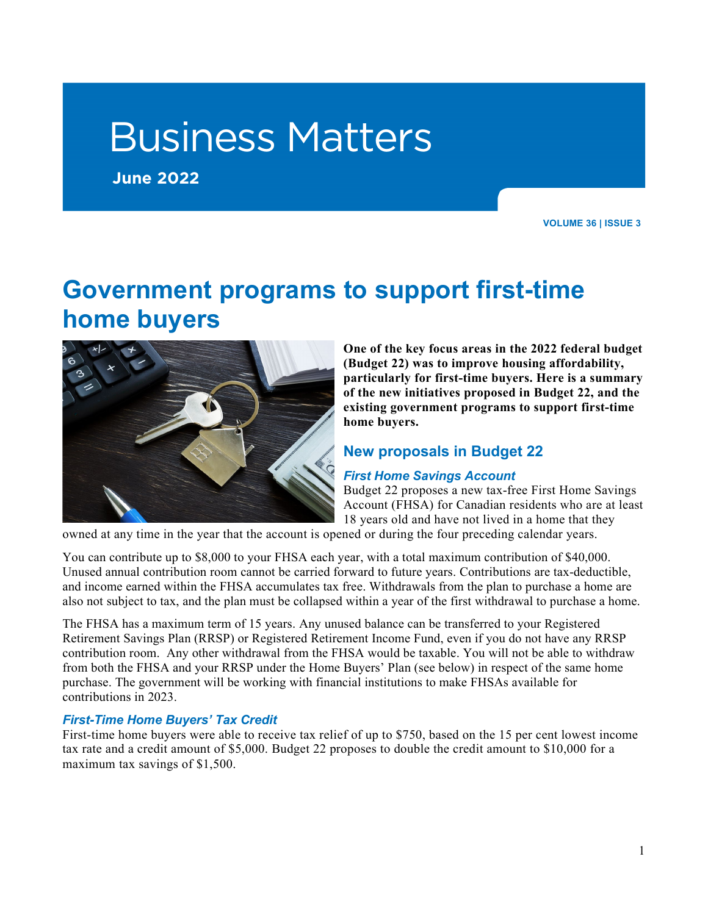# Business Matters

**June 2022**

**VOLUME 36 | ISSUE 3**

# **Government programs to support first-time home buyers**



**One of the key focus areas in the 2022 federal budget (Budget 22) was to improve housing affordability, particularly for first-time buyers. Here is a summary of the new initiatives proposed in Budget 22, and the existing government programs to support first-time home buyers.**

# **New proposals in Budget 22**

#### *First Home Savings Account*

Budget 22 proposes a new tax-free First Home Savings Account (FHSA) for Canadian residents who are at least 18 years old and have not lived in a home that they

owned at any time in the year that the account is opened or during the four preceding calendar years.

You can contribute up to \$8,000 to your FHSA each year, with a total maximum contribution of \$40,000. Unused annual contribution room cannot be carried forward to future years. Contributions are tax-deductible, and income earned within the FHSA accumulates tax free. Withdrawals from the plan to purchase a home are also not subject to tax, and the plan must be collapsed within a year of the first withdrawal to purchase a home.

The FHSA has a maximum term of 15 years. Any unused balance can be transferred to your Registered Retirement Savings Plan (RRSP) or Registered Retirement Income Fund, even if you do not have any RRSP contribution room. Any other withdrawal from the FHSA would be taxable. You will not be able to withdraw from both the FHSA and your RRSP under the Home Buyers' Plan (see below) in respect of the same home purchase. The government will be working with financial institutions to make FHSAs available for contributions in 2023.

#### *First-Time Home Buyers' Tax Credit*

First-time home buyers were able to receive tax relief of up to \$750, based on the 15 per cent lowest income tax rate and a credit amount of \$5,000. Budget 22 proposes to double the credit amount to \$10,000 for a maximum tax savings of \$1,500.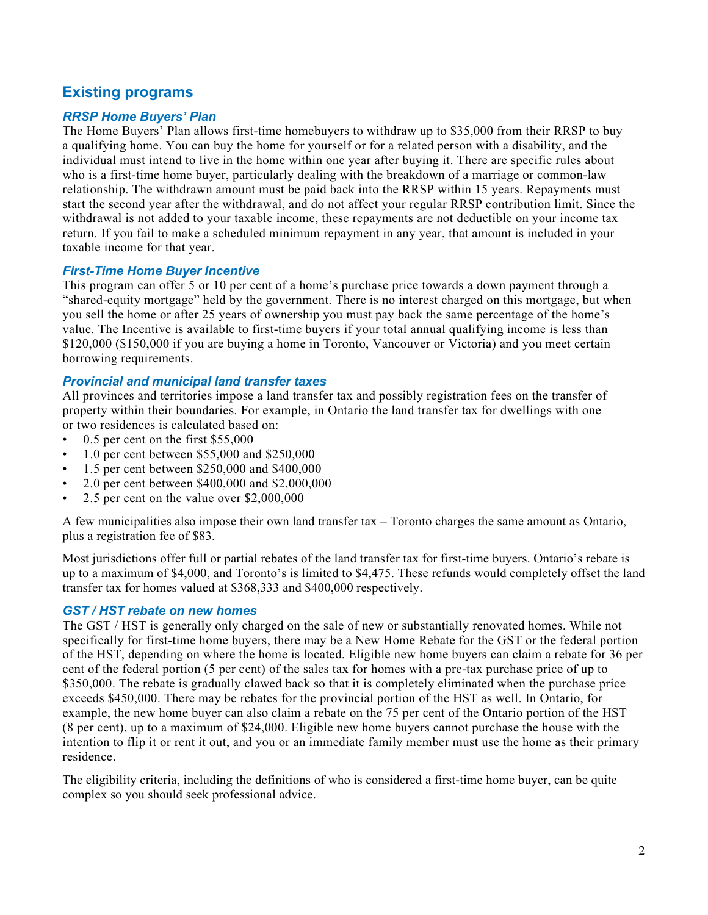# **Existing programs**

#### *RRSP Home Buyers' Plan*

The Home Buyers' Plan allows first-time homebuyers to withdraw up to \$35,000 from their RRSP to buy a qualifying home. You can buy the home for yourself or for a related person with a disability, and the individual must intend to live in the home within one year after buying it. There are specific rules about who is a first-time home buyer, particularly dealing with the breakdown of a marriage or common-law relationship. The withdrawn amount must be paid back into the RRSP within 15 years. Repayments must start the second year after the withdrawal, and do not affect your regular RRSP contribution limit. Since the withdrawal is not added to your taxable income, these repayments are not deductible on your income tax return. If you fail to make a scheduled minimum repayment in any year, that amount is included in your taxable income for that year.

#### *First-Time Home Buyer Incentive*

This program can offer 5 or 10 per cent of a home's purchase price towards a down payment through a "shared-equity mortgage" held by the government. There is no interest charged on this mortgage, but when you sell the home or after 25 years of ownership you must pay back the same percentage of the home's value. The Incentive is available to first-time buyers if your total annual qualifying income is less than \$120,000 (\$150,000 if you are buying a home in Toronto, Vancouver or Victoria) and you meet certain borrowing requirements.

#### *Provincial and municipal land transfer taxes*

All provinces and territories impose a land transfer tax and possibly registration fees on the transfer of property within their boundaries. For example, in Ontario the land transfer tax for dwellings with one or two residences is calculated based on:

- 0.5 per cent on the first \$55,000
- 1.0 per cent between \$55,000 and \$250,000
- 1.5 per cent between \$250,000 and \$400,000
- 2.0 per cent between \$400,000 and \$2,000,000
- 2.5 per cent on the value over \$2,000,000

A few municipalities also impose their own land transfer tax – Toronto charges the same amount as Ontario, plus a registration fee of \$83.

Most jurisdictions offer full or partial rebates of the land transfer tax for first-time buyers. Ontario's rebate is up to a maximum of \$4,000, and Toronto's is limited to \$4,475. These refunds would completely offset the land transfer tax for homes valued at \$368,333 and \$400,000 respectively.

#### *GST / HST rebate on new homes*

The GST / HST is generally only charged on the sale of new or substantially renovated homes. While not specifically for first-time home buyers, there may be a New Home Rebate for the GST or the federal portion of the HST, depending on where the home is located. Eligible new home buyers can claim a rebate for 36 per cent of the federal portion (5 per cent) of the sales tax for homes with a pre-tax purchase price of up to \$350,000. The rebate is gradually clawed back so that it is completely eliminated when the purchase price exceeds \$450,000. There may be rebates for the provincial portion of the HST as well. In Ontario, for example, the new home buyer can also claim a rebate on the 75 per cent of the Ontario portion of the HST (8 per cent), up to a maximum of \$24,000. Eligible new home buyers cannot purchase the house with the intention to flip it or rent it out, and you or an immediate family member must use the home as their primary residence.

The eligibility criteria, including the definitions of who is considered a first-time home buyer, can be quite complex so you should seek professional advice.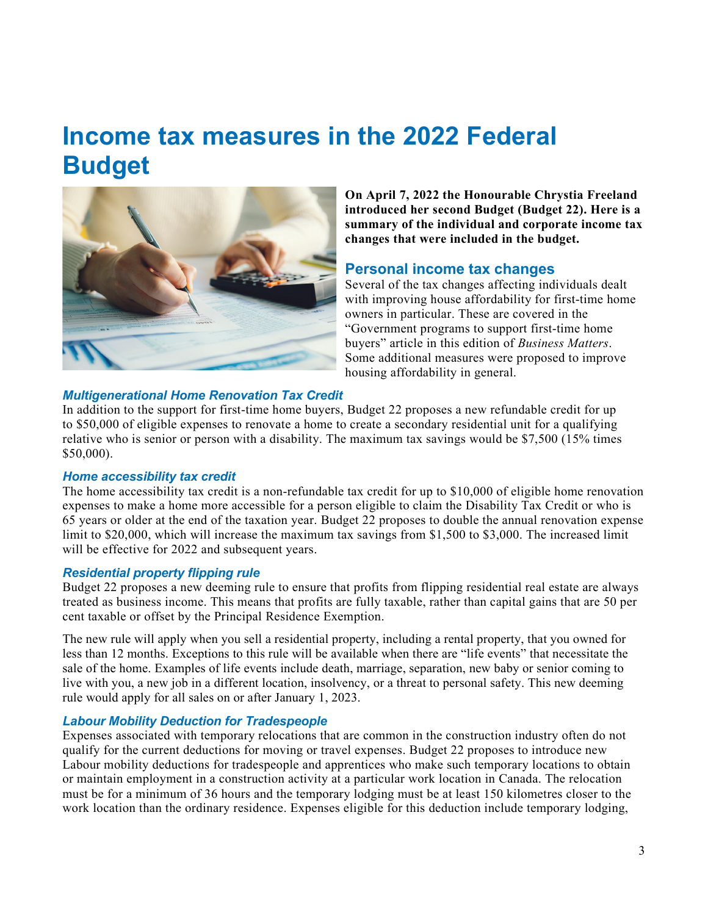# **Income tax measures in the 2022 Federal Budget**



**On April 7, 2022 the Honourable Chrystia Freeland introduced her second Budget (Budget 22). Here is a summary of the individual and corporate income tax changes that were included in the budget.**

#### **Personal income tax changes**

Several of the tax changes affecting individuals dealt with improving house affordability for first-time home owners in particular. These are covered in the "Government programs to support first-time home buyers" article in this edition of *Business Matters*. Some additional measures were proposed to improve housing affordability in general.

#### *Multigenerational Home Renovation Tax Credit*

In addition to the support for first-time home buyers, Budget 22 proposes a new refundable credit for up to \$50,000 of eligible expenses to renovate a home to create a secondary residential unit for a qualifying relative who is senior or person with a disability. The maximum tax savings would be \$7,500 (15% times \$50,000).

#### *Home accessibility tax credit*

The home accessibility tax credit is a non-refundable tax credit for up to \$10,000 of eligible home renovation expenses to make a home more accessible for a person eligible to claim the Disability Tax Credit or who is 65 years or older at the end of the taxation year. Budget 22 proposes to double the annual renovation expense limit to \$20,000, which will increase the maximum tax savings from \$1,500 to \$3,000. The increased limit will be effective for 2022 and subsequent years.

#### *Residential property flipping rule*

Budget 22 proposes a new deeming rule to ensure that profits from flipping residential real estate are always treated as business income. This means that profits are fully taxable, rather than capital gains that are 50 per cent taxable or offset by the Principal Residence Exemption.

The new rule will apply when you sell a residential property, including a rental property, that you owned for less than 12 months. Exceptions to this rule will be available when there are "life events" that necessitate the sale of the home. Examples of life events include death, marriage, separation, new baby or senior coming to live with you, a new job in a different location, insolvency, or a threat to personal safety. This new deeming rule would apply for all sales on or after January 1, 2023.

#### *Labour Mobility Deduction for Tradespeople*

Expenses associated with temporary relocations that are common in the construction industry often do not qualify for the current deductions for moving or travel expenses. Budget 22 proposes to introduce new Labour mobility deductions for tradespeople and apprentices who make such temporary locations to obtain or maintain employment in a construction activity at a particular work location in Canada. The relocation must be for a minimum of 36 hours and the temporary lodging must be at least 150 kilometres closer to the work location than the ordinary residence. Expenses eligible for this deduction include temporary lodging,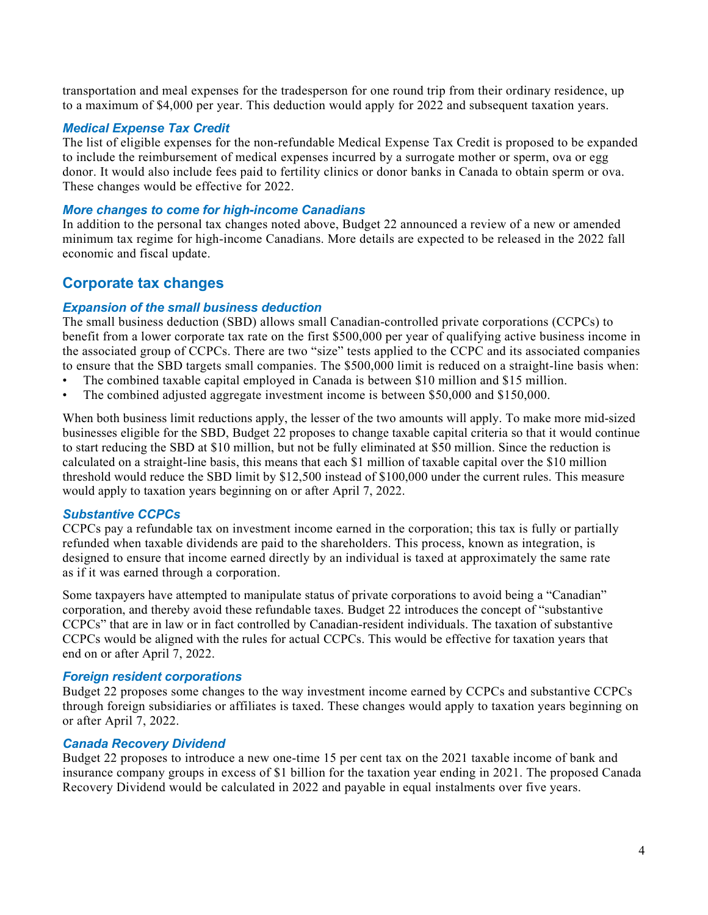transportation and meal expenses for the tradesperson for one round trip from their ordinary residence, up to a maximum of \$4,000 per year. This deduction would apply for 2022 and subsequent taxation years.

#### *Medical Expense Tax Credit*

The list of eligible expenses for the non-refundable Medical Expense Tax Credit is proposed to be expanded to include the reimbursement of medical expenses incurred by a surrogate mother or sperm, ova or egg donor. It would also include fees paid to fertility clinics or donor banks in Canada to obtain sperm or ova. These changes would be effective for 2022.

#### *More changes to come for high-income Canadians*

In addition to the personal tax changes noted above, Budget 22 announced a review of a new or amended minimum tax regime for high-income Canadians. More details are expected to be released in the 2022 fall economic and fiscal update.

# **Corporate tax changes**

#### *Expansion of the small business deduction*

The small business deduction (SBD) allows small Canadian-controlled private corporations (CCPCs) to benefit from a lower corporate tax rate on the first \$500,000 per year of qualifying active business income in the associated group of CCPCs. There are two "size" tests applied to the CCPC and its associated companies to ensure that the SBD targets small companies. The \$500,000 limit is reduced on a straight-line basis when:

- The combined taxable capital employed in Canada is between \$10 million and \$15 million.
- The combined adjusted aggregate investment income is between \$50,000 and \$150,000.

When both business limit reductions apply, the lesser of the two amounts will apply. To make more mid-sized businesses eligible for the SBD, Budget 22 proposes to change taxable capital criteria so that it would continue to start reducing the SBD at \$10 million, but not be fully eliminated at \$50 million. Since the reduction is calculated on a straight-line basis, this means that each \$1 million of taxable capital over the \$10 million threshold would reduce the SBD limit by \$12,500 instead of \$100,000 under the current rules. This measure would apply to taxation years beginning on or after April 7, 2022.

#### *Substantive CCPCs*

CCPCs pay a refundable tax on investment income earned in the corporation; this tax is fully or partially refunded when taxable dividends are paid to the shareholders. This process, known as integration, is designed to ensure that income earned directly by an individual is taxed at approximately the same rate as if it was earned through a corporation.

Some taxpayers have attempted to manipulate status of private corporations to avoid being a "Canadian" corporation, and thereby avoid these refundable taxes. Budget 22 introduces the concept of "substantive CCPCs" that are in law or in fact controlled by Canadian-resident individuals. The taxation of substantive CCPCs would be aligned with the rules for actual CCPCs. This would be effective for taxation years that end on or after April 7, 2022.

#### *Foreign resident corporations*

Budget 22 proposes some changes to the way investment income earned by CCPCs and substantive CCPCs through foreign subsidiaries or affiliates is taxed. These changes would apply to taxation years beginning on or after April 7, 2022.

#### *Canada Recovery Dividend*

Budget 22 proposes to introduce a new one-time 15 per cent tax on the 2021 taxable income of bank and insurance company groups in excess of \$1 billion for the taxation year ending in 2021. The proposed Canada Recovery Dividend would be calculated in 2022 and payable in equal instalments over five years.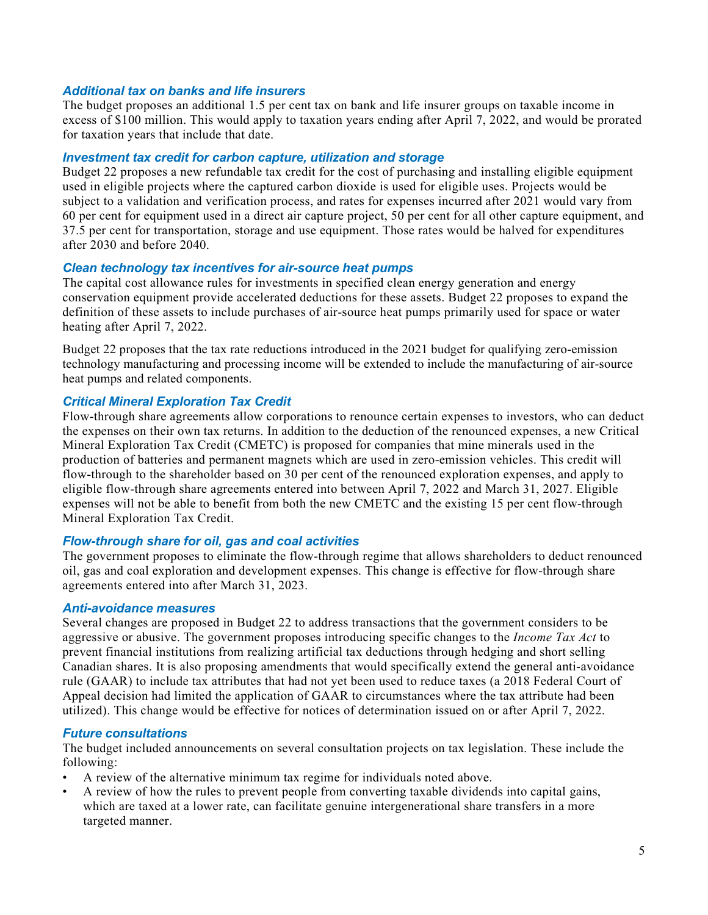#### *Additional tax on banks and life insurers*

The budget proposes an additional 1.5 per cent tax on bank and life insurer groups on taxable income in excess of \$100 million. This would apply to taxation years ending after April 7, 2022, and would be prorated for taxation years that include that date.

#### *Investment tax credit for carbon capture, utilization and storage*

Budget 22 proposes a new refundable tax credit for the cost of purchasing and installing eligible equipment used in eligible projects where the captured carbon dioxide is used for eligible uses. Projects would be subject to a validation and verification process, and rates for expenses incurred after 2021 would vary from 60 per cent for equipment used in a direct air capture project, 50 per cent for all other capture equipment, and 37.5 per cent for transportation, storage and use equipment. Those rates would be halved for expenditures after 2030 and before 2040.

#### *Clean technology tax incentives for air-source heat pumps*

The capital cost allowance rules for investments in specified clean energy generation and energy conservation equipment provide accelerated deductions for these assets. Budget 22 proposes to expand the definition of these assets to include purchases of air-source heat pumps primarily used for space or water heating after April 7, 2022.

Budget 22 proposes that the tax rate reductions introduced in the 2021 budget for qualifying zero-emission technology manufacturing and processing income will be extended to include the manufacturing of air-source heat pumps and related components.

#### *Critical Mineral Exploration Tax Credit*

Flow-through share agreements allow corporations to renounce certain expenses to investors, who can deduct the expenses on their own tax returns. In addition to the deduction of the renounced expenses, a new Critical Mineral Exploration Tax Credit (CMETC) is proposed for companies that mine minerals used in the production of batteries and permanent magnets which are used in zero-emission vehicles. This credit will flow-through to the shareholder based on 30 per cent of the renounced exploration expenses, and apply to eligible flow-through share agreements entered into between April 7, 2022 and March 31, 2027. Eligible expenses will not be able to benefit from both the new CMETC and the existing 15 per cent flow-through Mineral Exploration Tax Credit.

#### *Flow-through share for oil, gas and coal activities*

The government proposes to eliminate the flow-through regime that allows shareholders to deduct renounced oil, gas and coal exploration and development expenses. This change is effective for flow-through share agreements entered into after March 31, 2023.

#### *Anti-avoidance measures*

Several changes are proposed in Budget 22 to address transactions that the government considers to be aggressive or abusive. The government proposes introducing specific changes to the *Income Tax Act* to prevent financial institutions from realizing artificial tax deductions through hedging and short selling Canadian shares. It is also proposing amendments that would specifically extend the general anti-avoidance rule (GAAR) to include tax attributes that had not yet been used to reduce taxes (a 2018 Federal Court of Appeal decision had limited the application of GAAR to circumstances where the tax attribute had been utilized). This change would be effective for notices of determination issued on or after April 7, 2022.

#### *Future consultations*

The budget included announcements on several consultation projects on tax legislation. These include the following:

- A review of the alternative minimum tax regime for individuals noted above.
- A review of how the rules to prevent people from converting taxable dividends into capital gains, which are taxed at a lower rate, can facilitate genuine intergenerational share transfers in a more targeted manner.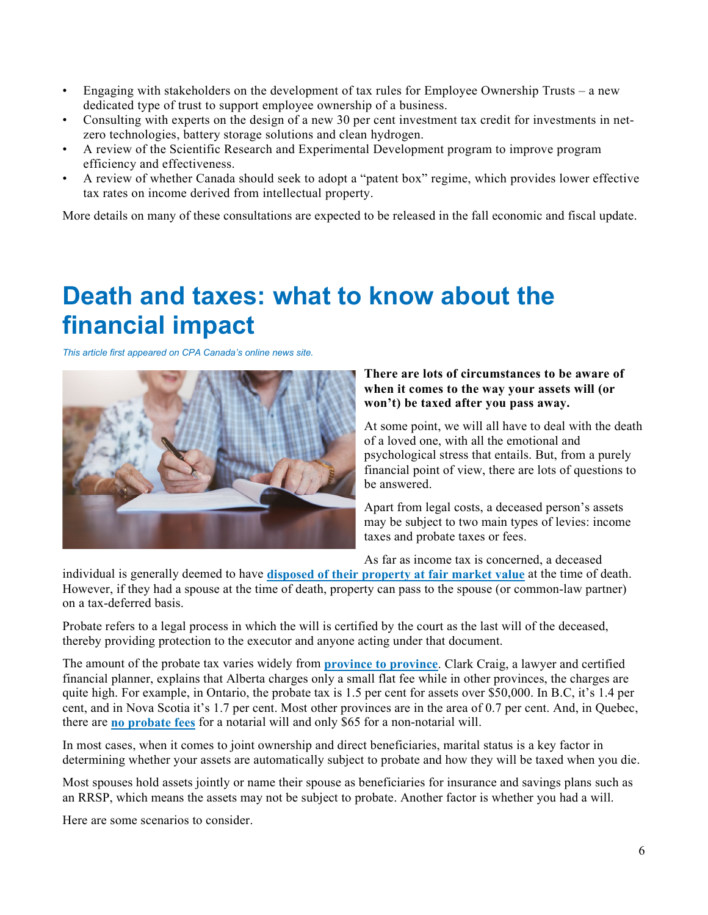- Engaging with stakeholders on the development of tax rules for Employee Ownership Trusts a new dedicated type of trust to support employee ownership of a business.
- Consulting with experts on the design of a new 30 per cent investment tax credit for investments in netzero technologies, battery storage solutions and clean hydrogen.
- A review of the Scientific Research and Experimental Development program to improve program efficiency and effectiveness.
- A review of whether Canada should seek to adopt a "patent box" regime, which provides lower effective tax rates on income derived from intellectual property.

More details on many of these consultations are expected to be released in the fall economic and fiscal update.

# **Death and taxes: what to know about the financial impact**

*This article first appeared on CPA Canada's online news site.*



#### **There are lots of circumstances to be aware of when it comes to the way your assets will (or won't) be taxed after you pass away.**

At some point, we will all have to deal with the death of a loved one, with all the emotional and psychological stress that entails. But, from a purely financial point of view, there are lots of questions to be answered.

Apart from legal costs, a deceased person's assets may be subject to two main types of levies: income taxes and probate taxes or fees.

As far as income tax is concerned, a deceased

individual is generally deemed to have **[disposed of their property at fair market value](https://www.canada.ca/en/revenue-agency/services/tax/individuals/life-events/what-when-someone-died/deemed-disposition-property.html)** at the time of death. However, if they had a spouse at the time of death, property can pass to the spouse (or common-law partner) on a tax-deferred basis.

Probate refers to a legal process in which the will is certified by the court as the last will of the deceased, thereby providing protection to the executor and anyone acting under that document.

The amount of the probate tax varies widely from **[province to province](https://www.advisor.ca/columnists_/curtis-davis/pay-probate-or-income-tax/)**. Clark Craig, a lawyer and certified financial planner, explains that Alberta charges only a small flat fee while in other provinces, the charges are quite high. For example, in Ontario, the probate tax is 1.5 per cent for assets over \$50,000. In B.C, it's 1.4 per cent, and in Nova Scotia it's 1.7 per cent. Most other provinces are in the area of 0.7 per cent. And, in Quebec, there are **[no probate fees](https://www.moneysense.ca/save/taxes/where-do-i-pay-probate-fees/)** for a notarial will and only \$65 for a non-notarial will.

In most cases, when it comes to joint ownership and direct beneficiaries, marital status is a key factor in determining whether your assets are automatically subject to probate and how they will be taxed when you die.

Most spouses hold assets jointly or name their spouse as beneficiaries for insurance and savings plans such as an RRSP, which means the assets may not be subject to probate. Another factor is whether you had a will.

Here are some scenarios to consider.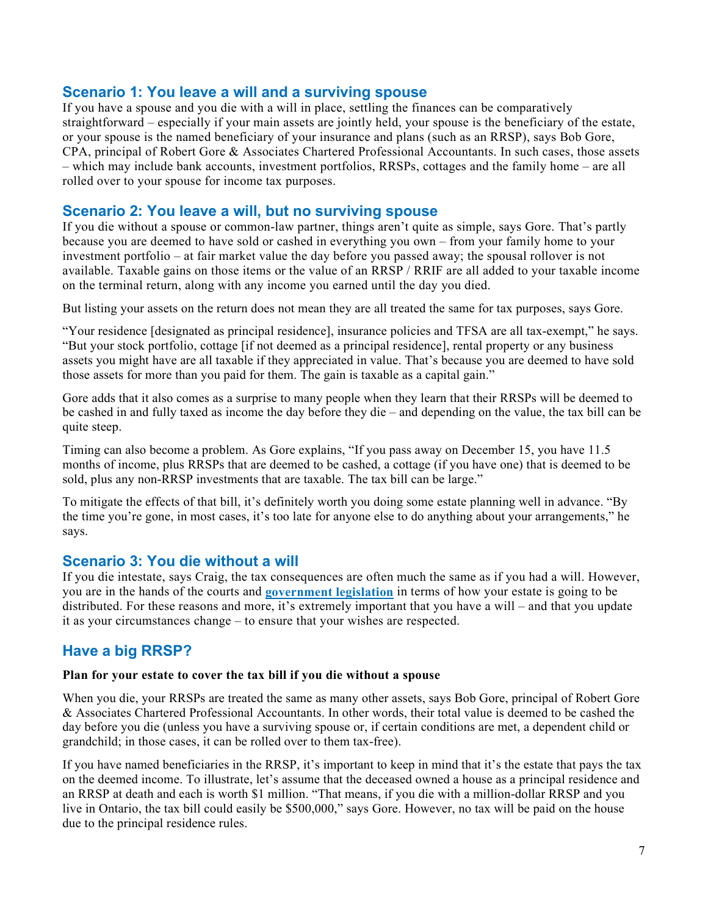# **Scenario 1: You leave a will and a surviving spouse**

If you have a spouse and you die with a will in place, settling the finances can be comparatively straightforward – especially if your main assets are jointly held, your spouse is the beneficiary of the estate, or your spouse is the named beneficiary of your insurance and plans (such as an RRSP), says Bob Gore, CPA, principal of Robert Gore & Associates Chartered Professional Accountants. In such cases, those assets – which may include bank accounts, investment portfolios, RRSPs, cottages and the family home – are all rolled over to your spouse for income tax purposes.

# **Scenario 2: You leave a will, but no surviving spouse**

If you die without a spouse or common-law partner, things aren't quite as simple, says Gore. That's partly because you are deemed to have sold or cashed in everything you own – from your family home to your investment portfolio – at fair market value the day before you passed away; the spousal rollover is not available. Taxable gains on those items or the value of an RRSP / RRIF are all added to your taxable income on the terminal return, along with any income you earned until the day you died.

But listing your assets on the return does not mean they are all treated the same for tax purposes, says Gore.

"Your residence [designated as principal residence], insurance policies and TFSA are all tax-exempt," he says. "But your stock portfolio, cottage [if not deemed as a principal residence], rental property or any business assets you might have are all taxable if they appreciated in value. That's because you are deemed to have sold those assets for more than you paid for them. The gain is taxable as a capital gain."

Gore adds that it also comes as a surprise to many people when they learn that their RRSPs will be deemed to be cashed in and fully taxed as income the day before they die – and depending on the value, the tax bill can be quite steep.

Timing can also become a problem. As Gore explains, "If you pass away on December 15, you have 11.5 months of income, plus RRSPs that are deemed to be cashed, a cottage (if you have one) that is deemed to be sold, plus any non-RRSP investments that are taxable. The tax bill can be large."

To mitigate the effects of that bill, it's definitely worth you doing some estate planning well in advance. "By the time you're gone, in most cases, it's too late for anyone else to do anything about your arrangements," he says.

# **Scenario 3: You die without a will**

If you die intestate, says Craig, the tax consequences are often much the same as if you had a will. However, you are in the hands of the courts and **[government legislation](https://www.legalwills.ca/blog/dying-without-a-will-canada/)** in terms of how your estate is going to be distributed. For these reasons and more, it's extremely important that you have a will – and that you update it as your circumstances change – to ensure that your wishes are respected.

# **Have a big RRSP?**

#### **Plan for your estate to cover the tax bill if you die without a spouse**

When you die, your RRSPs are treated the same as many other assets, says Bob Gore, principal of Robert Gore & Associates Chartered Professional Accountants. In other words, their total value is deemed to be cashed the day before you die (unless you have a surviving spouse or, if certain conditions are met, a dependent child or grandchild; in those cases, it can be rolled over to them tax-free).

If you have named beneficiaries in the RRSP, it's important to keep in mind that it's the estate that pays the tax on the deemed income. To illustrate, let's assume that the deceased owned a house as a principal residence and an RRSP at death and each is worth \$1 million. "That means, if you die with a million-dollar RRSP and you live in Ontario, the tax bill could easily be \$500,000," says Gore. However, no tax will be paid on the house due to the principal residence rules.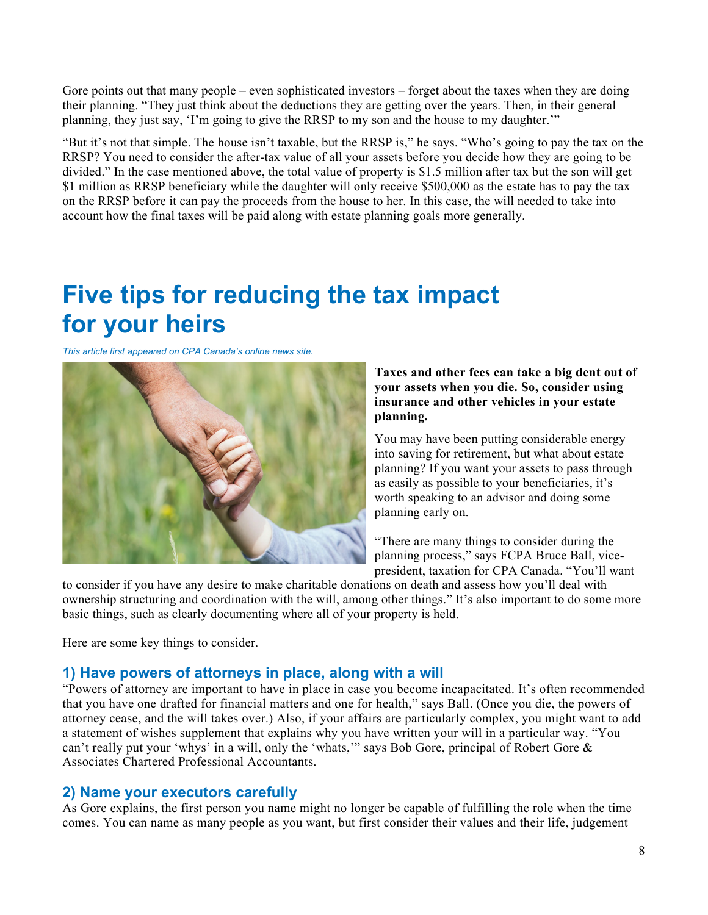Gore points out that many people – even sophisticated investors – forget about the taxes when they are doing their planning. "They just think about the deductions they are getting over the years. Then, in their general planning, they just say, 'I'm going to give the RRSP to my son and the house to my daughter.'"

"But it's not that simple. The house isn't taxable, but the RRSP is," he says. "Who's going to pay the tax on the RRSP? You need to consider the after-tax value of all your assets before you decide how they are going to be divided." In the case mentioned above, the total value of property is \$1.5 million after tax but the son will get \$1 million as RRSP beneficiary while the daughter will only receive \$500,000 as the estate has to pay the tax on the RRSP before it can pay the proceeds from the house to her. In this case, the will needed to take into account how the final taxes will be paid along with estate planning goals more generally.

# **Five tips for reducing the tax impact for your heirs**

*This article first appeared on CPA Canada's online news site.*



#### **Taxes and other fees can take a big dent out of your assets when you die. So, consider using insurance and other vehicles in your estate planning.**

You may have been putting considerable energy into saving for retirement, but what about estate planning? If you want your assets to pass through as easily as possible to your beneficiaries, it's worth speaking to an advisor and doing some planning early on.  

"There are many things to consider during the planning process," says FCPA Bruce Ball, vicepresident, taxation for CPA Canada. "You'll want

to consider if you have any desire to make charitable donations on death and assess how you'll deal with ownership structuring and coordination with the will, among other things." It's also important to do some more basic things, such as clearly documenting where all of your property is held.

Here are some key things to consider.  

# **1) Have powers of attorneys in place, along with a will**

"Powers of attorney are important to have in place in case you become incapacitated. It's often recommended that you have one drafted for financial matters and one for health," says Ball. (Once you die, the powers of attorney cease, and the will takes over.) Also, if your affairs are particularly complex, you might want to add a statement of wishes supplement that explains why you have written your will in a particular way. "You can't really put your 'whys' in a will, only the 'whats," says Bob Gore, principal of Robert Gore & Associates Chartered Professional Accountants.

# **2) Name your executors carefully**

As Gore explains, the first person you name might no longer be capable of fulfilling the role when the time comes. You can name as many people as you want, but first consider their values and their life, judgement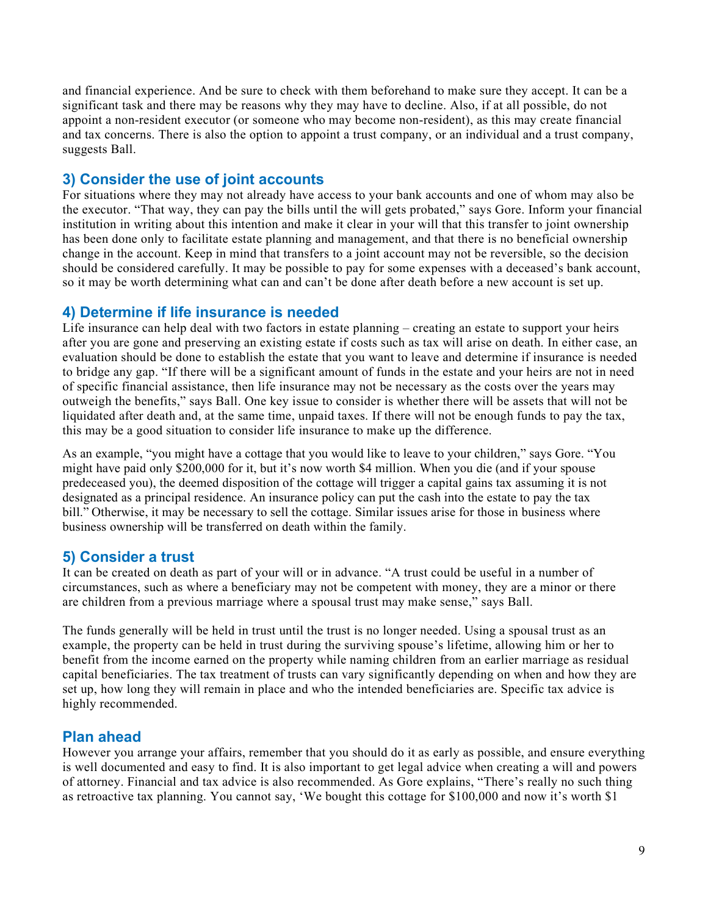and financial experience. And be sure to check with them beforehand to make sure they accept. It can be a significant task and there may be reasons why they may have to decline. Also, if at all possible, do not appoint a non-resident executor (or someone who may become non-resident), as this may create financial and tax concerns. There is also the option to appoint a trust company, or an individual and a trust company, suggests Ball.

# **3) Consider the use of joint accounts**

For situations where they may not already have access to your bank accounts and one of whom may also be the executor. "That way, they can pay the bills until the will gets probated," says Gore. Inform your financial institution in writing about this intention and make it clear in your will that this transfer to joint ownership has been done only to facilitate estate planning and management, and that there is no beneficial ownership change in the account. Keep in mind that transfers to a joint account may not be reversible, so the decision should be considered carefully. It may be possible to pay for some expenses with a deceased's bank account, so it may be worth determining what can and can't be done after death before a new account is set up.

### **4) Determine if life insurance is needed**

Life insurance can help deal with two factors in estate planning – creating an estate to support your heirs after you are gone and preserving an existing estate if costs such as tax will arise on death. In either case, an evaluation should be done to establish the estate that you want to leave and determine if insurance is needed to bridge any gap. "If there will be a significant amount of funds in the estate and your heirs are not in need of specific financial assistance, then life insurance may not be necessary as the costs over the years may outweigh the benefits," says Ball. One key issue to consider is whether there will be assets that will not be liquidated after death and, at the same time, unpaid taxes. If there will not be enough funds to pay the tax, this may be a good situation to consider life insurance to make up the difference.

As an example, "you might have a cottage that you would like to leave to your children," says Gore. "You might have paid only \$200,000 for it, but it's now worth \$4 million. When you die (and if your spouse predeceased you), the deemed disposition of the cottage will trigger a capital gains tax assuming it is not designated as a principal residence. An insurance policy can put the cash into the estate to pay the tax bill." Otherwise, it may be necessary to sell the cottage. Similar issues arise for those in business where business ownership will be transferred on death within the family.

# **5) Consider a trust**

It can be created on death as part of your will or in advance. "A trust could be useful in a number of circumstances, such as where a beneficiary may not be competent with money, they are a minor or there are children from a previous marriage where a spousal trust may make sense," says Ball.

The funds generally will be held in trust until the trust is no longer needed. Using a spousal trust as an example, the property can be held in trust during the surviving spouse's lifetime, allowing him or her to benefit from the income earned on the property while naming children from an earlier marriage as residual capital beneficiaries. The tax treatment of trusts can vary significantly depending on when and how they are set up, how long they will remain in place and who the intended beneficiaries are. Specific tax advice is highly recommended.

# **Plan ahead**

However you arrange your affairs, remember that you should do it as early as possible, and ensure everything is well documented and easy to find. It is also important to get legal advice when creating a will and powers of attorney. Financial and tax advice is also recommended. As Gore explains, "There's really no such thing as retroactive tax planning. You cannot say, 'We bought this cottage for \$100,000 and now it's worth \$1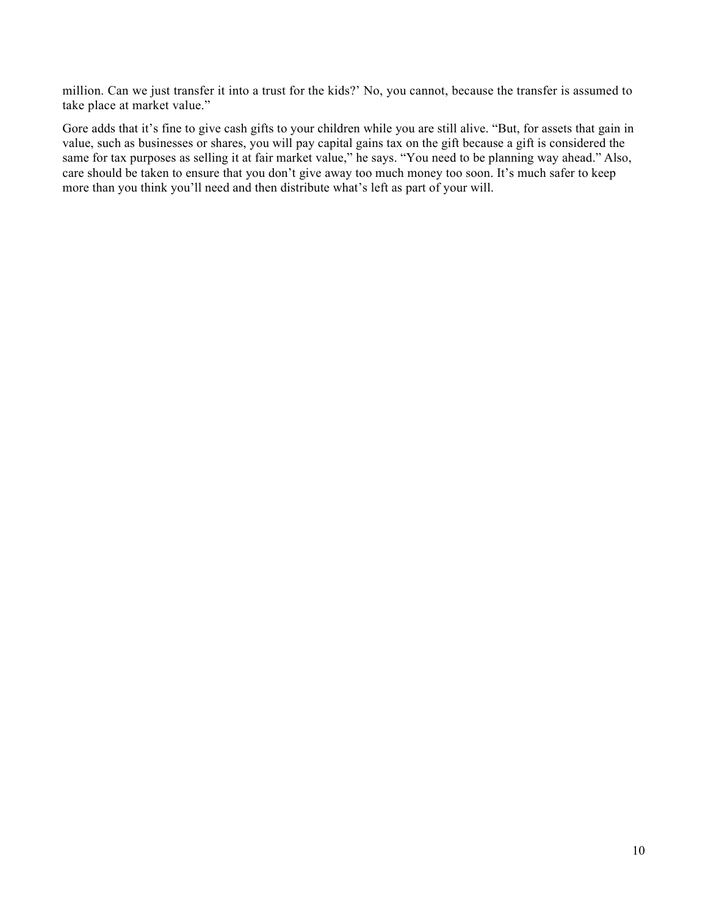million. Can we just transfer it into a trust for the kids?' No, you cannot, because the transfer is assumed to take place at market value."

Gore adds that it's fine to give cash gifts to your children while you are still alive. "But, for assets that gain in value, such as businesses or shares, you will pay capital gains tax on the gift because a gift is considered the same for tax purposes as selling it at fair market value," he says. "You need to be planning way ahead." Also, care should be taken to ensure that you don't give away too much money too soon. It's much safer to keep more than you think you'll need and then distribute what's left as part of your will.